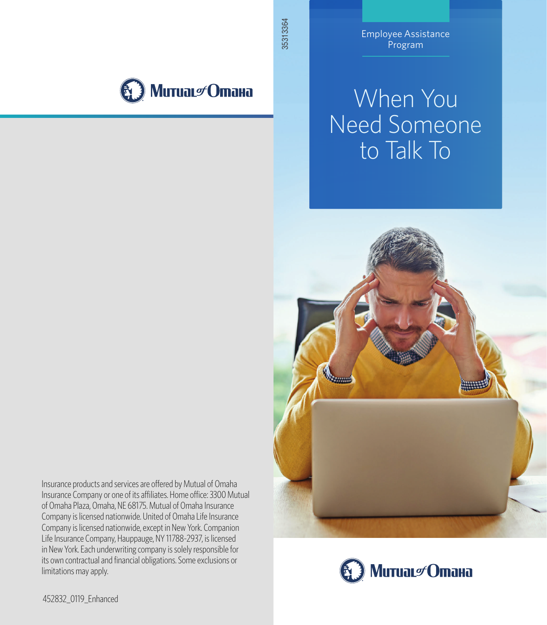

Employee Assistance Program

# When You Need Someone to Talk To



Insurance products and services are offered by Mutual of Omaha Insurance Company or one of its affiliates. Home office: 3300 Mutual of Omaha Plaza, Omaha, NE 68175. Mutual of Omaha Insurance Company is licensed nationwide. United of Omaha Life Insurance Company is licensed nationwide, except in New York. Companion Life Insurance Company, Hauppauge, NY 11788-2937, is licensed in New York. Each underwriting company is solely responsible for its own contractual and financial obligations. Some exclusions or limitations may apply.



452832\_0119\_Enhanced